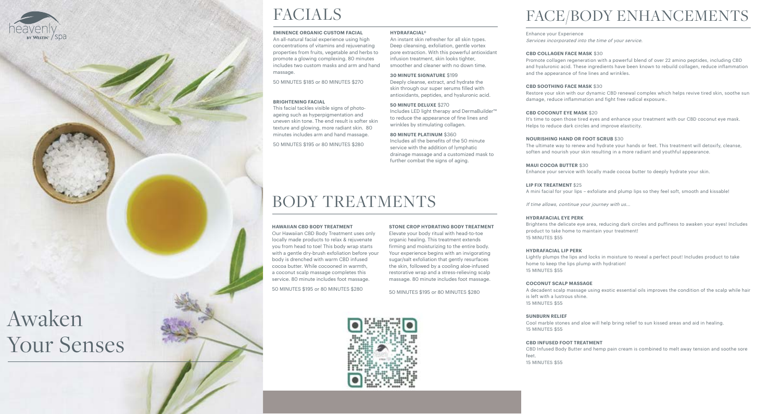## FACE/BODY ENHANCEMENTS

Enhance your Experience Services incorporated into the time of your service.

## **CBD COLLAGEN FACE MASK** \$30

Promote collagen regeneration with a powerful blend of over 22 amino peptides, including CBD and hyaluronic acid. These ingredients have been known to rebuild collagen, reduce inflammation and the appearance of fine lines and wrinkles.

**CBD SOOTHING FACE MASK** \$30 Restore your skin with our dynamic CBD renewal complex which helps revive tired skin, soothe sun damage, reduce inflammation and fight free radical exposure..

It's time to open those tired eyes and enhance your treatment with our CBD coconut eye mask.

**CBD COCONUT EYE MASK** \$20 Helps to reduce dark circles and improve elasticity.

## **NOURISHING HAND OR FOOT SCRUB** \$30

The ultimate way to renew and hydrate your hands or feet. This treatment will detoxify, cleanse, soften and nourish your skin resulting in a more radiant and youthful appearance.

**MAUI COCOA BUTTER** \$30

Enhance your service with locally made cocoa butter to deeply hydrate your skin.

An all-natural facial experience using high concentrations of vitamins and rejuvenating properties from fruits, vegetable and herbs to promote a glowing complexing. 80 minutes includes two custom masks and arm and hand massage.

**LIP FIX TREATMENT** \$25

A mini facial for your lips – exfoliate and plump lips so they feel soft, smooth and kissable!

If time allows, continue your journey with us...

## **HYDRAFACIAL EYE PERK**

Brightens the delicate eye area, reducing dark circles and puffiness to awaken your eyes! Includes product to take home to maintain your treatment! 15 MINUTES \$55

## **HYDRAFACIAL LIP PERK**

Lightly plumps the lips and locks in moisture to reveal a perfect pout! Includes product to take

home to keep the lips plump with hydration! 15 MINUTES \$55

## **COCONUT SCALP MASSAGE**

A decadent scalp massage using exotic essential oils improves the condition of the scalp while hair

is left with a lustrous shine. 15 MINUTES \$55

## **SUNBURN RELIEF**

Cool marble stones and aloe will help bring relief to sun kissed areas and aid in healing.

15 MINUTES \$55

## **CBD INFUSED FOOT TREATMENT**

CBD Infused Body Butter and hemp pain cream is combined to melt away tension and soothe sore

feet. 15 MINUTES \$55



WESTIN" /

## FACIALS

## **EMINENCE ORGANIC CUSTOM FACIAL**

50 MINUTES \$185 or 80 MINUTES \$270

## **BRIGHTENING FACIAL**

This facial tackles visible signs of photoageing such as hyperpigmentation and uneven skin tone. The end result is softer skin texture and glowing, more radiant skin. 80 minutes includes arm and hand massage.

50 MINUTES \$195 or 80 MINUTES \$280

## **HYDRAFACIAL®**

An instant skin refresher for all skin types. Deep cleansing, exfoliation, gentle vortex pore extraction. With this powerful antioxidant infusion treatment, skin looks tighter, smoother and cleaner with no down time.

## **30 MINUTE SIGNATURE** \$199

Deeply cleanse, extract, and hydrate the skin through our super serums filled with antioxidants, peptides, and hyaluronic acid.

## **50 MINUTE DELUXE** \$270

Includes LED light therapy and DermaBuilder™ to reduce the appearance of fine lines and wrinkles by stimulating collagen.

## **80 MINUTE PLATINUM** \$360

Includes all the benefits of the 50 minute service with the addition of lymphatic drainage massage and a customized mask to further combat the signs of aging.

## BODY TREATMENTS

## **HAWAIIAN CBD BODY TREATMENT**

Our Hawaiian CBD Body Treatment uses only locally made products to relax & rejuvenate you from head to toe! This body wrap starts with a gentle dry-brush exfoliation before your body is drenched with warm CBD infused cocoa butter. While cocooned in warmth, a coconut scalp massage completes this service. 80 minute includes foot massage.

50 MINUTES \$195 or 80 MINUTES \$280

## **STONE CROP HYDRATING BODY TREATMENT**

Elevate your body ritual with head-to-toe organic healing. This treatment extends firming and moisturizing to the entire body. Your experience begins with an invigorating sugar/salt exfoliation that gently resurfaces the skin, followed by a cooling aloe-infused restorative wrap and a stress-relieving scalp massage. 80 minute includes foot massage.

[50 MINUTES \\$195 or 80 MINUTES](http://twm96761.na.book4time.com/onlinebooking) \$280